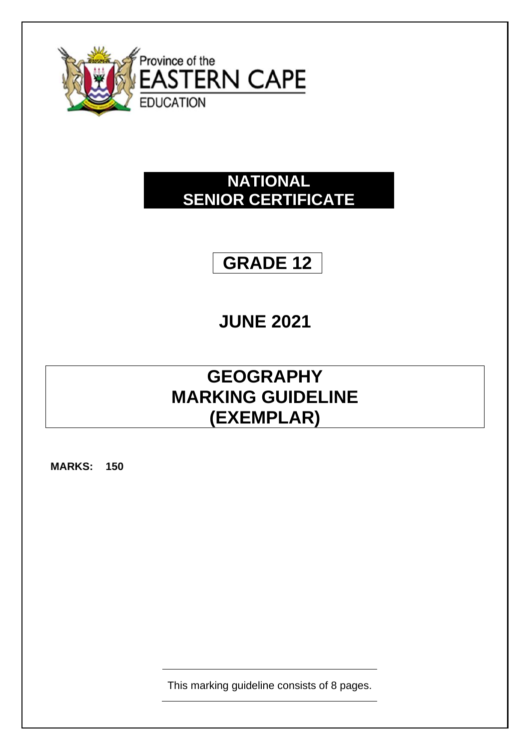

### **NATIONAL SENIOR CERTIFICATE**

## **GRADE 12**

# **JUNE 2021**

### **GEOGRAPHY MARKING GUIDELINE (EXEMPLAR)**

**MARKS: 150**

This marking guideline consists of 8 pages.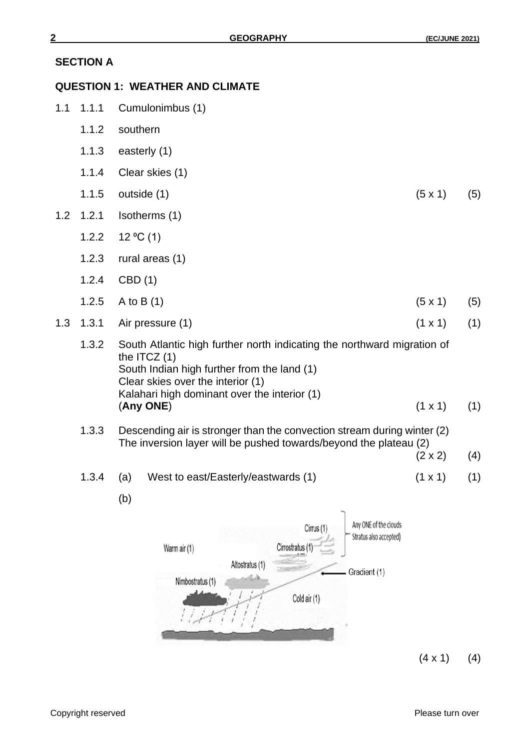#### **SECTION A**

#### **QUESTION 1: WEATHER AND CLIMATE**

- 1.1 1.1.1 Cumulonimbus (1)
	- 1.1.2 southern
	- 1.1.3 easterly (1)
	- 1.1.4 Clear skies (1)
	- 1.1.5 outside (1) (5x 1) (5)
- 1.2 1.2.1 Isotherms (1)
	- 1.2.2  $12 \degree C$  (1)
	- 1.2.3 rural areas (1)
	- 1.2.4 CBD (1)
	- 1.2.5 A to B (1) (5)
- 1.3 1.3.1 Air pressure (1) (1 x 1) (1)
	- 1.3.2 South Atlantic high further north indicating the northward migration of the ITCZ (1) South Indian high further from the land (1) Clear skies over the interior (1) Kalahari high dominant over the interior (1) (**Any ONE**) (1 x 1) (1)
	- 1.3.3 Descending air is stronger than the convection stream during winter (2) The inversion layer will be pushed towards/beyond the plateau (2)
		- $(2 \times 2)$  (4)
	- 1.3.4 (a) West to east/Easterly/eastwards (1) (1 x 1) (1)
		- (b)



 $(4 \times 1)$  (4)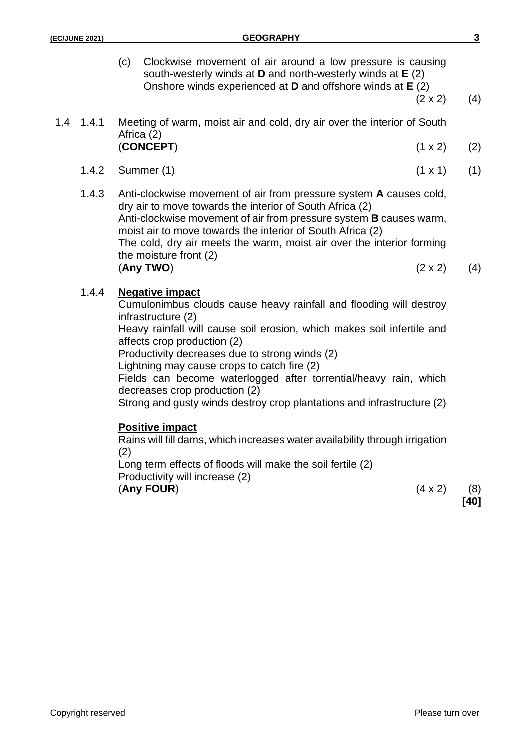(c) Clockwise movement of air around a low pressure is causing south-westerly winds at **D** and north-westerly winds at **E** (2) Onshore winds experienced at **D** and offshore winds at **E** (2)

 $(2 \times 2)$  (4)

#### 1.4 1.4.1 Meeting of warm, moist air and cold, dry air over the interior of South Africa (2) (**CONCEPT**) (1 x 2) (2)

- 1.4.2 Summer (1) (1 x 1) (1)
- 1.4.3 Anti-clockwise movement of air from pressure system **A** causes cold, dry air to move towards the interior of South Africa (2) Anti-clockwise movement of air from pressure system **B** causes warm, moist air to move towards the interior of South Africa (2) The cold, dry air meets the warm, moist air over the interior forming the moisture front (2) (**Any TWO**) (2 x 2) (4)

#### 1.4.4 **Negative impact**

Cumulonimbus clouds cause heavy rainfall and flooding will destroy infrastructure (2)

Heavy rainfall will cause soil erosion, which makes soil infertile and affects crop production (2)

Productivity decreases due to strong winds (2)

Lightning may cause crops to catch fire (2)

Fields can become waterlogged after torrential/heavy rain, which decreases crop production (2)

Strong and gusty winds destroy crop plantations and infrastructure (2)

#### **Positive impact**

Rains will fill dams, which increases water availability through irrigation (2)

Long term effects of floods will make the soil fertile (2)

Productivity will increase (2)

(**Any FOUR**) (4 x 2) (8)

**[40]**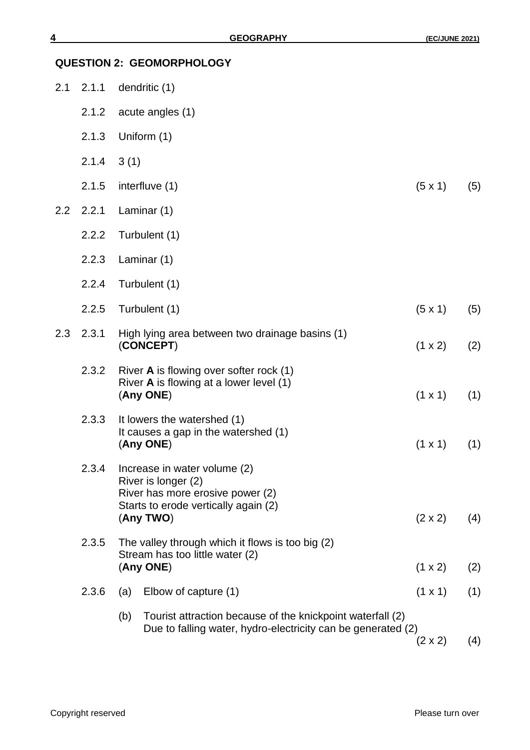| 2.1 | 2.1.1 | dendritic (1)                                                                                                                     |                |     |
|-----|-------|-----------------------------------------------------------------------------------------------------------------------------------|----------------|-----|
|     | 2.1.2 | acute angles (1)                                                                                                                  |                |     |
|     | 2.1.3 | Uniform (1)                                                                                                                       |                |     |
|     | 2.1.4 | 3(1)                                                                                                                              |                |     |
|     | 2.1.5 | interfluve (1)                                                                                                                    | $(5 \times 1)$ | (5) |
| 2.2 | 2.2.1 | Laminar (1)                                                                                                                       |                |     |
|     | 2.2.2 | Turbulent (1)                                                                                                                     |                |     |
|     | 2.2.3 | Laminar (1)                                                                                                                       |                |     |
|     | 2.2.4 | Turbulent (1)                                                                                                                     |                |     |
|     | 2.2.5 | Turbulent (1)                                                                                                                     | $(5 \times 1)$ | (5) |
| 2.3 | 2.3.1 | High lying area between two drainage basins (1)<br>(CONCEPT)                                                                      | (1 x 2)        | (2) |
|     | 2.3.2 | River A is flowing over softer rock (1)<br>River A is flowing at a lower level (1)<br>(Any ONE)                                   | $(1 \times 1)$ | (1) |
|     | 2.3.3 | It lowers the watershed (1)<br>It causes a gap in the watershed (1)<br>(Any ONE)                                                  | $(1 \times 1)$ | (1) |
|     | 2.3.4 | Increase in water volume (2)<br>River is longer (2)<br>River has more erosive power (2)<br>Starts to erode vertically again (2)   |                |     |
|     |       | (Any TWO)                                                                                                                         | $(2 \times 2)$ | (4) |
|     | 2.3.5 | The valley through which it flows is too big (2)<br>Stream has too little water (2)                                               |                |     |
|     |       | (Any ONE)                                                                                                                         | $(1 \times 2)$ | (2) |
|     | 2.3.6 | Elbow of capture (1)<br>(a)                                                                                                       | $(1 \times 1)$ | (1) |
|     |       | Tourist attraction because of the knickpoint waterfall (2)<br>(b)<br>Due to falling water, hydro-electricity can be generated (2) |                |     |
|     |       |                                                                                                                                   | $(2 \times 2)$ | (4) |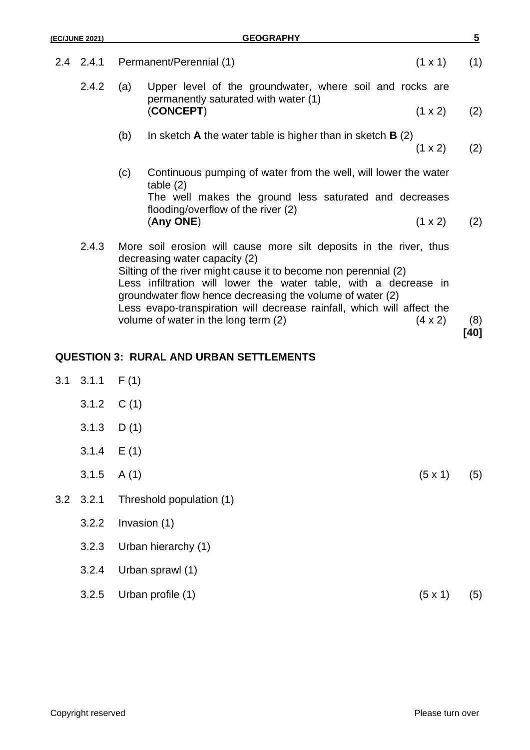|     | (EC/JUNE 2021)                                                                                                                                                                                | <b>GEOGRAPHY</b>                                                                                                                                                                                                                           | $\overline{5}$ |
|-----|-----------------------------------------------------------------------------------------------------------------------------------------------------------------------------------------------|--------------------------------------------------------------------------------------------------------------------------------------------------------------------------------------------------------------------------------------------|----------------|
| 2.4 | 2.4.1                                                                                                                                                                                         | $(1 \times 1)$<br>Permanent/Perennial (1)                                                                                                                                                                                                  | (1)            |
|     | 2.4.2                                                                                                                                                                                         | (a)<br>Upper level of the groundwater, where soil and rocks are<br>permanently saturated with water (1)                                                                                                                                    |                |
|     |                                                                                                                                                                                               | (CONCEPT)<br>$(1 \times 2)$                                                                                                                                                                                                                | (2)            |
|     |                                                                                                                                                                                               | (b)<br>In sketch $A$ the water table is higher than in sketch $B(2)$<br>$(1 \times 2)$                                                                                                                                                     | (2)            |
|     |                                                                                                                                                                                               | Continuous pumping of water from the well, will lower the water<br>(c)<br>table(2)                                                                                                                                                         |                |
|     |                                                                                                                                                                                               | The well makes the ground less saturated and decreases<br>flooding/overflow of the river (2)                                                                                                                                               |                |
|     |                                                                                                                                                                                               | (Any ONE)<br>$(1 \times 2)$                                                                                                                                                                                                                | (2)            |
|     | 2.4.3                                                                                                                                                                                         | More soil erosion will cause more silt deposits in the river, thus<br>decreasing water capacity (2)<br>Silting of the river might cause it to become non perennial (2)<br>Less infiltration will lower the water table, with a decrease in |                |
|     | groundwater flow hence decreasing the volume of water (2)<br>Less evapo-transpiration will decrease rainfall, which will affect the<br>volume of water in the long term (2)<br>$(4 \times 2)$ |                                                                                                                                                                                                                                            | (8)<br>[40]    |
|     |                                                                                                                                                                                               | <b>QUESTION 3: RURAL AND URBAN SETTLEMENTS</b>                                                                                                                                                                                             |                |
|     | $3.1 \quad 3.1.1$                                                                                                                                                                             | F(1)                                                                                                                                                                                                                                       |                |
|     | 3.1.2                                                                                                                                                                                         | C(1)                                                                                                                                                                                                                                       |                |
|     | 3.1.3 $D(1)$                                                                                                                                                                                  |                                                                                                                                                                                                                                            |                |
|     | 3.1.4                                                                                                                                                                                         | E(1)                                                                                                                                                                                                                                       |                |
|     | 3.1.5                                                                                                                                                                                         | (5 x 1)<br>A(1)                                                                                                                                                                                                                            | (5)            |
| 3.2 | 3.2.1                                                                                                                                                                                         | Threshold population (1)                                                                                                                                                                                                                   |                |
|     | 3.2.2                                                                                                                                                                                         | Invasion (1)                                                                                                                                                                                                                               |                |
|     | 3.2.3                                                                                                                                                                                         | Urban hierarchy (1)                                                                                                                                                                                                                        |                |
|     | 3.2.4                                                                                                                                                                                         | Urban sprawl (1)                                                                                                                                                                                                                           |                |

3.2.5 Urban profile (1)  $(5 \times 1)$  (5)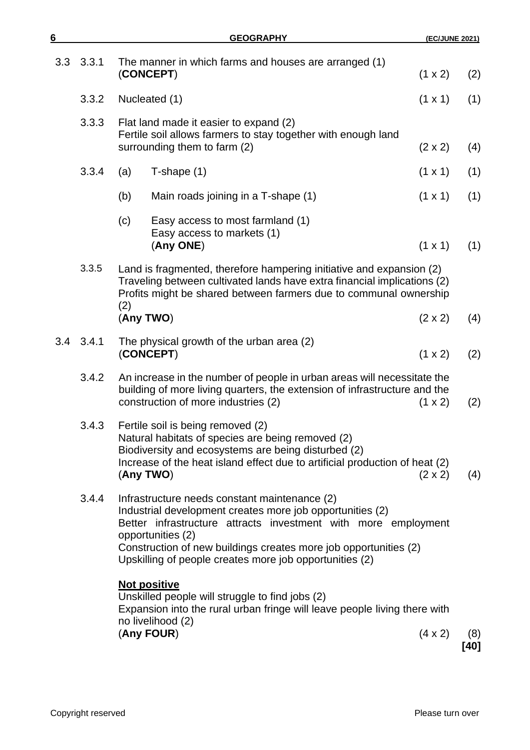| 6   |       | <b>GEOGRAPHY</b>                                                                                                                                                                                                                                                                                                                 | (EC/JUNE 2021) |             |
|-----|-------|----------------------------------------------------------------------------------------------------------------------------------------------------------------------------------------------------------------------------------------------------------------------------------------------------------------------------------|----------------|-------------|
| 3.3 | 3.3.1 | The manner in which farms and houses are arranged (1)<br>(CONCEPT)                                                                                                                                                                                                                                                               | (1 x 2)        | (2)         |
|     | 3.3.2 | Nucleated (1)                                                                                                                                                                                                                                                                                                                    | $(1 \times 1)$ | (1)         |
|     | 3.3.3 | Flat land made it easier to expand (2)<br>Fertile soil allows farmers to stay together with enough land<br>surrounding them to farm (2)                                                                                                                                                                                          | $(2 \times 2)$ | (4)         |
|     | 3.3.4 | $T$ -shape $(1)$<br>(a)                                                                                                                                                                                                                                                                                                          | $(1 \times 1)$ | (1)         |
|     |       | (b)<br>Main roads joining in a T-shape (1)                                                                                                                                                                                                                                                                                       | $(1 \times 1)$ | (1)         |
|     |       | (c)<br>Easy access to most farmland (1)<br>Easy access to markets (1)<br>(Any ONE)                                                                                                                                                                                                                                               | $(1 \times 1)$ | (1)         |
|     | 3.3.5 | Land is fragmented, therefore hampering initiative and expansion (2)<br>Traveling between cultivated lands have extra financial implications (2)<br>Profits might be shared between farmers due to communal ownership<br>(2)                                                                                                     |                |             |
|     |       | (Any TWO)                                                                                                                                                                                                                                                                                                                        | $(2 \times 2)$ | (4)         |
| 3.4 | 3.4.1 | The physical growth of the urban area (2)<br>(CONCEPT)                                                                                                                                                                                                                                                                           | (1 x 2)        | (2)         |
|     | 3.4.2 | An increase in the number of people in urban areas will necessitate the<br>building of more living quarters, the extension of infrastructure and the<br>construction of more industries (2)<br>$(1 \times 2)$                                                                                                                    |                |             |
|     | 3.4.3 | Fertile soil is being removed (2)<br>Natural habitats of species are being removed (2)<br>Biodiversity and ecosystems are being disturbed (2)<br>Increase of the heat island effect due to artificial production of heat (2)<br>(Any TWO)<br>$(2 \times 2)$                                                                      |                |             |
|     | 3.4.4 | Infrastructure needs constant maintenance (2)<br>Industrial development creates more job opportunities (2)<br>Better infrastructure attracts investment with more employment<br>opportunities (2)<br>Construction of new buildings creates more job opportunities (2)<br>Upskilling of people creates more job opportunities (2) |                |             |
|     |       | <b>Not positive</b><br>Unskilled people will struggle to find jobs (2)<br>Expansion into the rural urban fringe will leave people living there with<br>no livelihood (2)                                                                                                                                                         |                |             |
|     |       | (Any FOUR)                                                                                                                                                                                                                                                                                                                       | $(4 \times 2)$ | (8)<br>[40] |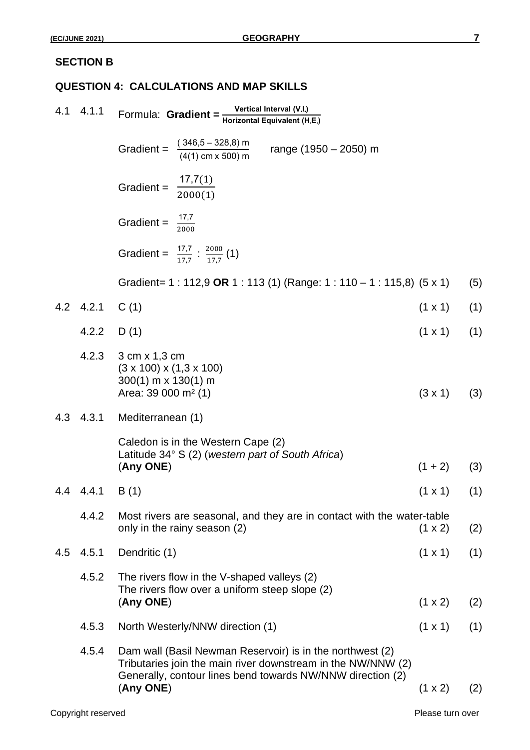#### **SECTION B**

#### **QUESTION 4: CALCULATIONS AND MAP SKILLS**

|     | 4.1 4.1.1 | Formula: Gradient = $\frac{\text{Vertical Interval (V.I.)}}{\text{Horizontal Equivalent (H.E.)}}$                                                                                                    |                |     |
|-----|-----------|------------------------------------------------------------------------------------------------------------------------------------------------------------------------------------------------------|----------------|-----|
|     |           | Gradient = $\frac{(346.5 - 328.8) \text{ m}}{(4(1) \text{ cm} \times 500) \text{ m}}$<br>range (1950 – 2050) m                                                                                       |                |     |
|     |           | Gradient = $\frac{17,7(1)}{2000(1)}$                                                                                                                                                                 |                |     |
|     |           | Gradient = $\frac{17.7}{2000}$                                                                                                                                                                       |                |     |
|     |           | Gradient = $\frac{17.7}{17.7}$ : $\frac{2000}{17.7}$ (1)                                                                                                                                             |                |     |
|     |           | Gradient= 1 : 112,9 OR 1 : 113 (1) (Range: 1 : 110 – 1 : 115,8) (5 x 1)                                                                                                                              |                | (5) |
|     | 4.2 4.2.1 | C(1)                                                                                                                                                                                                 | $(1 \times 1)$ | (1) |
|     | 4.2.2     | D(1)                                                                                                                                                                                                 | $(1 \times 1)$ | (1) |
|     | 4.2.3     | 3 cm x 1,3 cm<br>$(3 \times 100) \times (1, 3 \times 100)$<br>$300(1)$ m x 130(1) m<br>Area: 39 000 $m2$ (1)                                                                                         | $(3 \times 1)$ | (3) |
|     | 4.3 4.3.1 | Mediterranean (1)                                                                                                                                                                                    |                |     |
|     |           | Caledon is in the Western Cape (2)                                                                                                                                                                   |                |     |
|     |           | Latitude 34° S (2) (western part of South Africa)<br>(Any ONE)                                                                                                                                       | $(1 + 2)$      | (3) |
|     | 4.4 4.4.1 | B (1)                                                                                                                                                                                                | $(1 \times 1)$ | (1) |
|     | 4.4.2     | Most rivers are seasonal, and they are in contact with the water-table<br>only in the rainy season (2)                                                                                               | $(1 \times 2)$ | (2) |
| 4.5 | 4.5.1     | Dendritic (1)                                                                                                                                                                                        | $(1 \times 1)$ | (1) |
|     | 4.5.2     | The rivers flow in the V-shaped valleys (2)<br>The rivers flow over a uniform steep slope (2)<br>(Any ONE)                                                                                           | $(1 \times 2)$ | (2) |
|     | 4.5.3     | North Westerly/NNW direction (1)                                                                                                                                                                     | $(1 \times 1)$ | (1) |
|     | 4.5.4     | Dam wall (Basil Newman Reservoir) is in the northwest (2)<br>Tributaries join the main river downstream in the NW/NNW (2)<br>Generally, contour lines bend towards NW/NNW direction (2)<br>(Any ONE) | (1 x 2)        | (2) |
|     |           |                                                                                                                                                                                                      |                |     |